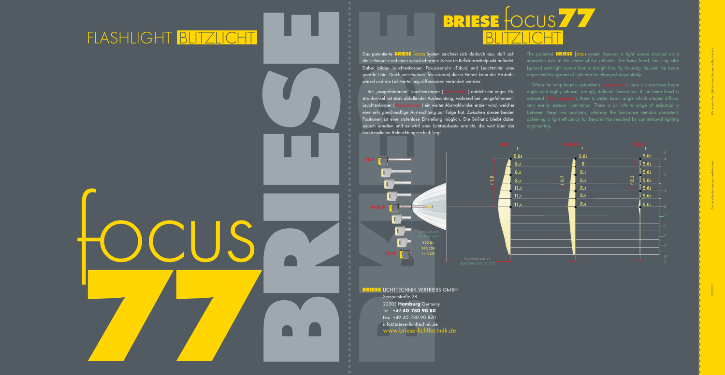



Das patentierte **BRIESE** focus System zeichnet sich dadurch aus, daß sich die Lichtquelle auf einer verschiebbaren Achse im Reflektormittelpunkt befindet. Dabei bilden Leuchtenkörper, Fokussierrohr (Tubus) und Leuchtmittel eine gerade Linie. Durch verschieben (fokussieren) dieser Einheit kann der Abstrahlwinkel und die Lichtverteilung differenziert verändert werden.

Bei "ausgefahrenem" Leuchtenkörper (spot position) entsteht ein enger Abstrahlwinkel mit stark abfallender Ausleuchtung, während bei "eingefahrenem" Leuchtenkörper (flood position) ein weiter Abstrahlwinkel erzielt wird, welcher eine sehr gleichmäßige Ausleuchtung zur Folge hat. Zwischen diesen beiden Positionen ist eine stufenlose Einstellung möglich. Die Brillianz bleibt dabei jedoch erhalten und es wird eine Lichtausbeute erreicht, die weit über der

When the lamp head is extended (spot position), there is a narrower beam angle with highly intense, strongly defined illumination. If the lamp head is retracted (flood position), there is wider beam angle which creates diffuse, very evenly spread illumination. There is an infinite range of adjustability achieving a light efficiency far beyond that reached by conventional lighting engineering.

herkömmlicher Beleuchtungstechnik liegt.



The patented **BRIESE** focus system features a light source situated on a moveable axis in the centre of the reflector. The lamp head, focusing tube (spacer) and light source form a straight line. By focusing this unit, the beam angle and the spread of light can be changed sequentially.



### FLASH LIGHT BLITZLICHT BLITZLICHT

**BRIESE** LICHTTECHNIK VERTRIEBS GMBH Semperstraße 28 22303 **Hamburg** Germany Tel +49**.40.780 90 80** Fax +49.40.780 90 820 info @briese-lichttechnik.de www.briese-lichttechnik.de